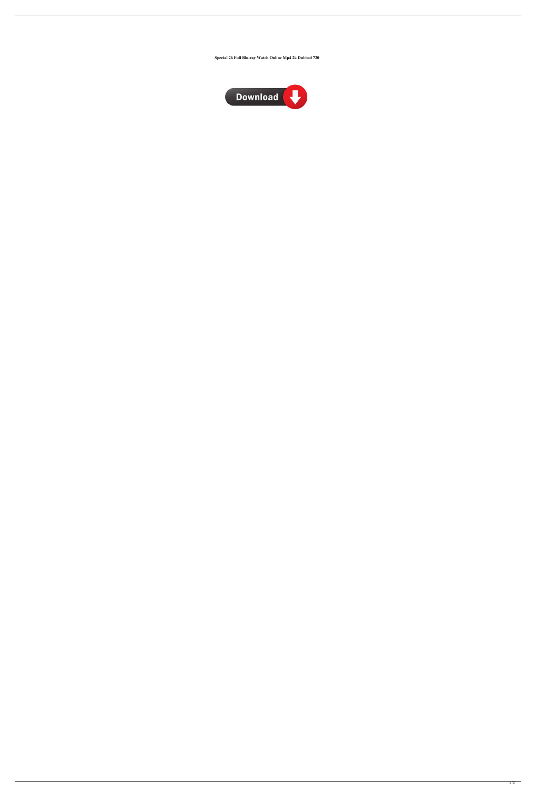**Special 26 Full Blu-ray Watch Online Mp4 2k Dubbed 720**